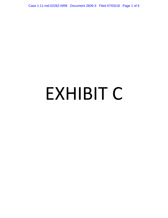Case 1:11-md-02262-NRB Document 2609-3 Filed 07/03/18 Page 1 of 6

# EXHIBIT C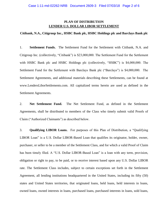# **PLAN OF DISTRIBUTION LENDER U.S. DOLLAR LIBOR SETTLEMENT**

## **Citibank, N.A., Citigroup Inc., HSBC Bank plc, HSBC Holdings plc and Barclays Bank plc**

1. **Settlement Funds.** The Settlement Fund for the Settlement with Citibank, N.A. and Citigroup Inc. (collectively, "Citibank") is \$23,000,000. The Settlement Fund for the Settlement with HSBC Bank plc and HSBC Holdings plc (collectively, "HSBC") is \$4,000,000. The Settlement Fund for the Settlement with Barclays Bank plc ("Barclays") is \$4,000,000. The Settlement Agreements, and additional materials describing these Settlements, can be found at www.LendersLiborSettlements.com. All capitalized terms herein are used as defined in the Settlement Agreements.

2. **Net Settlement Fund.** The Net Settlement Fund, as defined in the Settlement Agreements, shall be distributed to members of the Class who timely submit valid Proofs of Claim ("Authorized Claimants") as described below.

3. **Qualifying LIBOR Loans.** For purposes of this Plan of Distribution, a "Qualifying LIBOR Loan" is a U.S. Dollar LIBOR-Based Loan that qualifies its originator, holder, owner, purchaser, or seller to be a member of the Settlement Class, and for which a valid Proof of Claim has been timely filed. A "U.S. Dollar LIBOR-Based Loan" is a loan with any term, provision, obligation or right to pay, to be paid, or to receive interest based upon any U.S. Dollar LIBOR rate. The Settlement Class includes, subject to certain exceptions set forth in the Settlement Agreement, all lending institutions headquartered in the United States, including its fifty (50) states and United States territories, that originated loans, held loans, held interests in loans, owned loans, owned interests in loans, purchased loans, purchased interests in loans, sold loans,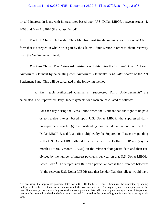### Case 1:11-md-02262-NRB Document 2609-3 Filed 07/03/18 Page 3 of 6

or sold interests in loans with interest rates based upon U.S. Dollar LIBOR between August 1, 2007 and May 31, 2010 (the "Class Period").

4. **Proof of Claim.** A Lender Class Member must timely submit a valid Proof of Claim form that is accepted in whole or in part by the Claims Administrator in order to obtain recovery from the Net Settlement Fund.

5. *Pro Rata* **Claim.** The Claims Administrator will determine the "*Pro Rata* Claim" of each Authorized Claimant by calculating each Authorized Claimant's "*Pro Rata* Share" of the Net Settlement Fund. This will be calculated in the following method:

a. First, each Authorized Claimant's "Suppressed Daily Underpayments" are calculated. The Suppressed Daily Underpayments for a loan are calculated as follows:

> For each day during the Class Period when the Claimant had the right to be paid or to receive interest based upon U.S. Dollar LIBOR, the suppressed daily underpayment equals: (i) the outstanding nominal dollar amount of the U.S. Dollar LIBOR-Based Loan, (ii) multiplied by the Suppression Rate corresponding to the U.S. Dollar LIBOR-Based Loan's relevant U.S. Dollar LIBOR rate (*e.g.*, 1 month LIBOR, 3-month LIBOR) on the relevant fixing/reset date and then (iii) divided by the number of interest payments per year on that U.S. Dollar LIBOR-Based Loan.<sup>1</sup> The Suppression Rate on a particular date is the difference between: (a) the relevant U.S. Dollar LIBOR rate that Lender Plaintiffs allege would have

 $\overline{a}$ 

<sup>&</sup>lt;sup>1</sup> If necessary, the applicable payment dates for a U.S. Dollar LIBOR-Based Loan will be estimated by adding multiples of the LIBOR tenor to the date on which the loan was extended (or acquired) until the expiry date of the loan. If necessary, the outstanding notional on each payment date will be computed using a linear interpolation between the nominal on the day the loan was extended / acquired to the outstanding nominal on the maturity / sale date.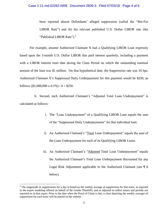### Case 1:11-md-02262-NRB Document 2609-3 Filed 07/03/18 Page 4 of 6

been reported absent Defendants' alleged suppression (called the "But-For LIBOR Rate") and (b) the relevant published U.S. Dollar LIBOR rate (the "Published LIBOR Rate").<sup>2</sup>

For example, assume Authorized Claimant X had a Qualifying LIBOR Loan expressly based upon the 3-month U.S. Dollar LIBOR that paid interest quarterly, including a payment with a LIBOR interest reset date during the Class Period on which the outstanding nominal amount of the loan was \$1 million. On that hypothetical date, the Suppression rate was 10 bps. Authorized Claimant X's Suppressed Daily Underpayment for this payment would be \$250, as follows:  $(\$1,000,000 \times 0.1\%) / 4 = \$250.$ 

b. Second, each Authorized Claimant's "Adjusted Total Loan Underpayment" is calculated as follows:

- i. The "Loan Underpayment" of a Qualifying LIBOR Loan equals the sum of the "Suppressed Daily Underpayments" for that individual loan.
- ii. An Authorized Claimant's "Total Loan Underpayment" equals the sum of the Loan Underpayment for each of its Qualifying LIBOR Loans.
- iii. An Authorized Claimant's "Adjusted Total Loan Underpayment" equals the Authorized Claimant's Total Loan Underpayment discounted for any Legal Risk Adjustment applicable to the Authorized Claimant (see ¶ 6 below).

 $\overline{\phantom{a}}$ 

<sup>&</sup>lt;sup>2</sup> The magnitude of suppressions for a day is based on the weekly average of suppression for that tenor, as reported in the expert modeling offered on behalf of the Lender Plaintiffs, and as adjusted to reflect tenors and periods not reported on in that report. Prior to the date when the Proof of Claim is due, a chart depicting the weekly averages of suppression for each tenor will be posted on the website.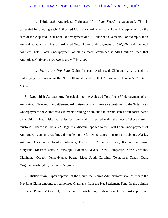### Case 1:11-md-02262-NRB Document 2609-3 Filed 07/03/18 Page 5 of 6

c. Third, each Authorized Claimants "*Pro Rata* Share" is calculated. This is calculated by dividing each Authorized Claimant's Adjusted Total Loan Underpayment by the sum of the Adjusted Total Loan Underpayment of all Authorized Claimants. For example, if an Authorized Claimant has an Adjusted Total Loan Underpayment of \$20,000, and the total Adjusted Total Loan Underpayment of all claimants combined is \$100 million, then that Authorized Claimant's *pro rata* share will be .0002.

d. Fourth, the *Pro Rata* Claim for each Authorized Claimant is calculated by multiplying the amount in the Net Settlement Fund by that Authorized Claimant's *Pro Rata*  Share.

6. **Legal Risk Adjustment.** In calculating the Adjusted Total Loan Underpayment of an Authorized Claimant, the Settlement Administrator shall make an adjustment to the Total Loan Underpayment for Authorized Claimants residing / domiciled in certain states / territories based on additional legal risks that exist for fraud claims asserted under the laws of those states / territories. There shall be a 50% legal risk discount applied to the Total Loan Underpayment of Authorized Claimants residing / domiciled in the following states / territories: Alabama, Alaska, Arizona, Arkansas, Colorado, Delaware, District of Columbia, Idaho, Kansas, Louisiana, Maryland, Massachusetts, Mississippi, Montana, Nevada, New Hampshire, North Carolina, Oklahoma, Oregon Pennsylvania, Puerto Rico, South Carolina, Tennessee, Texas, Utah, Virginia, Washington, and West Virginia.

7. **Distribution.** Upon approval of the Court, the Claims Administrator shall distribute the *Pro Rata* Claim amounts to Authorized Claimants from the Net Settlement Fund. In the opinion of Lender Plaintiffs' Counsel, this method of distributing funds represents the most appropriate